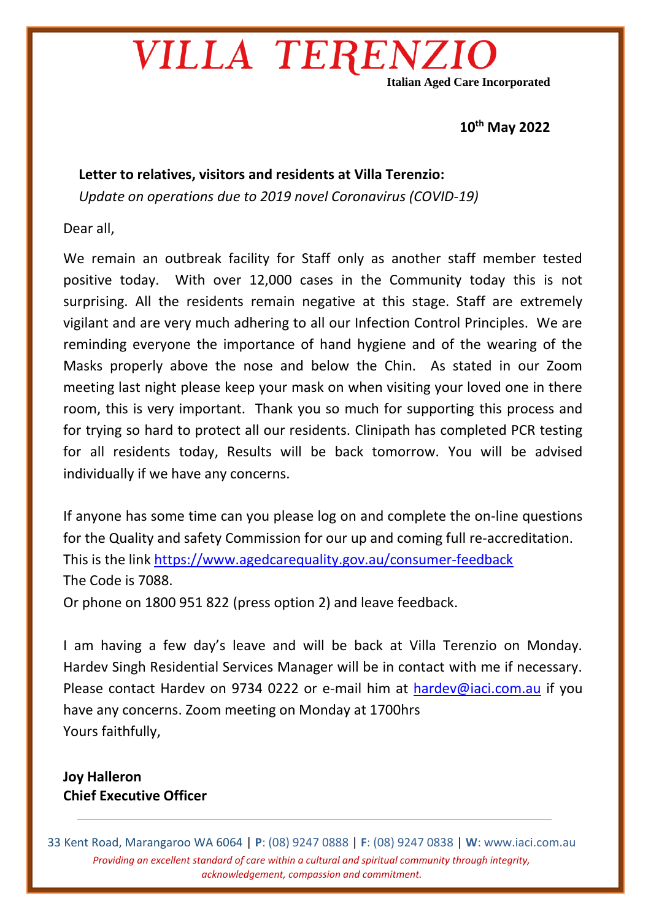## VILLA TERENZ

**Italian Aged Care Incorporated**

#### **10th May 2022**

### **Letter to relatives, visitors and residents at Villa Terenzio:** *Update on operations due to 2019 novel Coronavirus (COVID-19)*

Dear all,

We remain an outbreak facility for Staff only as another staff member tested positive today. With over 12,000 cases in the Community today this is not surprising. All the residents remain negative at this stage. Staff are extremely vigilant and are very much adhering to all our Infection Control Principles. We are reminding everyone the importance of hand hygiene and of the wearing of the Masks properly above the nose and below the Chin. As stated in our Zoom meeting last night please keep your mask on when visiting your loved one in there room, this is very important. Thank you so much for supporting this process and for trying so hard to protect all our residents. Clinipath has completed PCR testing for all residents today, Results will be back tomorrow. You will be advised individually if we have any concerns.

If anyone has some time can you please log on and complete the on-line questions for the Quality and safety Commission for our up and coming full re-accreditation. This is the link<https://www.agedcarequality.gov.au/consumer-feedback> The Code is 7088.

Or phone on 1800 951 822 (press option 2) and leave feedback.

I am having a few day's leave and will be back at Villa Terenzio on Monday. Hardev Singh Residential Services Manager will be in contact with me if necessary. Please contact Hardev on 9734 0222 or e-mail him at [hardev@iaci.com.au](mailto:hardev@iaci.com.au) if you have any concerns. Zoom meeting on Monday at 1700hrs Yours faithfully,

### **Joy Halleron Chief Executive Officer**

33 Kent Road, Marangaroo WA 6064 | **P**: (08) 9247 0888 | **F**: (08) 9247 0838 | **W**: www.iaci.com.au *Providing an excellent standard of care within a cultural and spiritual community through integrity, acknowledgement, compassion and commitment.*